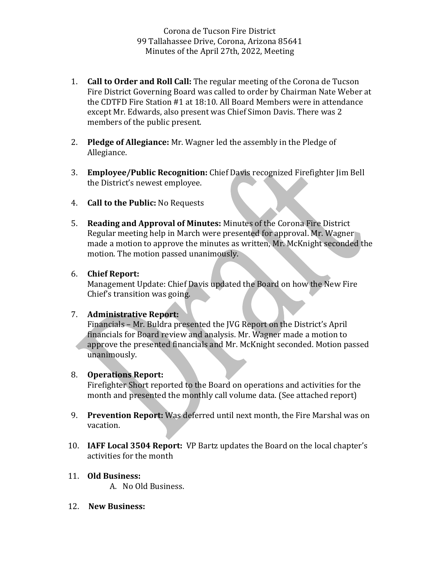Corona de Tucson Fire District 99 Tallahassee Drive, Corona, Arizona 85641 Minutes of the April 27th, 2022, Meeting

- 1. **Call to Order and Roll Call:** The regular meeting of the Corona de Tucson Fire District Governing Board was called to order by Chairman Nate Weber at the CDTFD Fire Station #1 at 18:10. All Board Members were in attendance except Mr. Edwards, also present was Chief Simon Davis. There was 2 members of the public present.
- 2. **Pledge of Allegiance:** Mr. Wagner led the assembly in the Pledge of Allegiance.
- 3. **Employee/Public Recognition:** Chief Davis recognized Firefighter Jim Bell the District's newest employee.
- 4. **Call to the Public:** No Requests
- 5. **Reading and Approval of Minutes:** Minutes of the Corona Fire District Regular meeting help in March were presented for approval. Mr. Wagner made a motion to approve the minutes as written, Mr. McKnight seconded the motion. The motion passed unanimously.

## 6. **Chief Report:**

Management Update: Chief Davis updated the Board on how the New Fire Chief's transition was going.

## 7. **Administrative Report:**

Financials – Mr. Buldra presented the JVG Report on the District's April financials for Board review and analysis. Mr. Wagner made a motion to approve the presented financials and Mr. McKnight seconded. Motion passed unanimously.

## 8. **Operations Report:**

Firefighter Short reported to the Board on operations and activities for the month and presented the monthly call volume data. (See attached report)

- 9. **Prevention Report:** Was deferred until next month, the Fire Marshal was on vacation.
- 10. **IAFF Local 3504 Report:** VP Bartz updates the Board on the local chapter's activities for the month

## 11. **Old Business:**

A. No Old Business.

12. **New Business:**